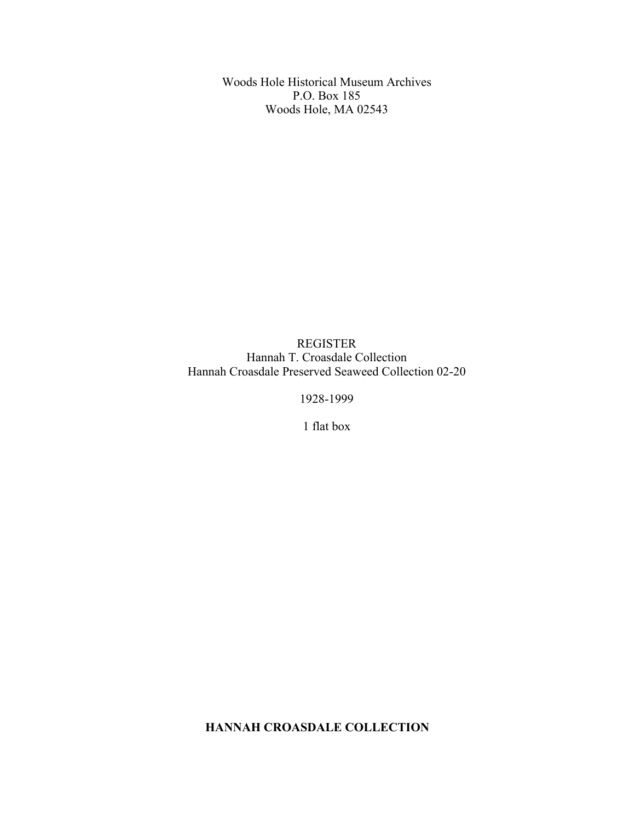Woods Hole Historical Museum Archives P.O. Box 185 Woods Hole, MA 02543

REGISTER Hannah T. Croasdale Collection Hannah Croasdale Preserved Seaweed Collection 02-20

1928-1999

1 flat box

**HANNAH CROASDALE COLLECTION**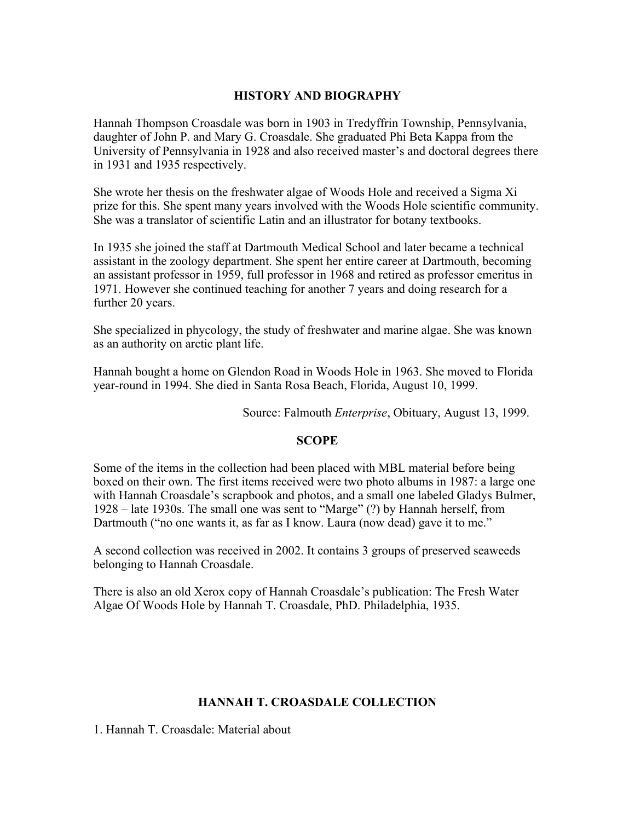## **HISTORY AND BIOGRAPHY**

Hannah Thompson Croasdale was born in 1903 in Tredyffrin Township, Pennsylvania, daughter of John P. and Mary G. Croasdale. She graduated Phi Beta Kappa from the University of Pennsylvania in 1928 and also received master's and doctoral degrees there in 1931 and 1935 respectively.

She wrote her thesis on the freshwater algae of Woods Hole and received a Sigma Xi prize for this. She spent many years involved with the Woods Hole scientific community. She was a translator of scientific Latin and an illustrator for botany textbooks.

In 1935 she joined the staff at Dartmouth Medical School and later became a technical assistant in the zoology department. She spent her entire career at Dartmouth, becoming an assistant professor in 1959, full professor in 1968 and retired as professor emeritus in 1971. However she continued teaching for another 7 years and doing research for a further 20 years.

She specialized in phycology, the study of freshwater and marine algae. She was known as an authority on arctic plant life.

Hannah bought a home on Glendon Road in Woods Hole in 1963. She moved to Florida year-round in 1994. She died in Santa Rosa Beach, Florida, August 10, 1999.

Source: Falmouth *Enterprise*, Obituary, August 13, 1999.

## **SCOPE**

Some of the items in the collection had been placed with MBL material before being boxed on their own. The first items received were two photo albums in 1987: a large one with Hannah Croasdale's scrapbook and photos, and a small one labeled Gladys Bulmer, 1928 – late 1930s. The small one was sent to "Marge" (?) by Hannah herself, from Dartmouth ("no one wants it, as far as I know. Laura (now dead) gave it to me."

A second collection was received in 2002. It contains 3 groups of preserved seaweeds belonging to Hannah Croasdale.

There is also an old Xerox copy of Hannah Croasdale's publication: The Fresh Water Algae Of Woods Hole by Hannah T. Croasdale, PhD. Philadelphia, 1935.

## **HANNAH T. CROASDALE COLLECTION**

1. Hannah T. Croasdale: Material about